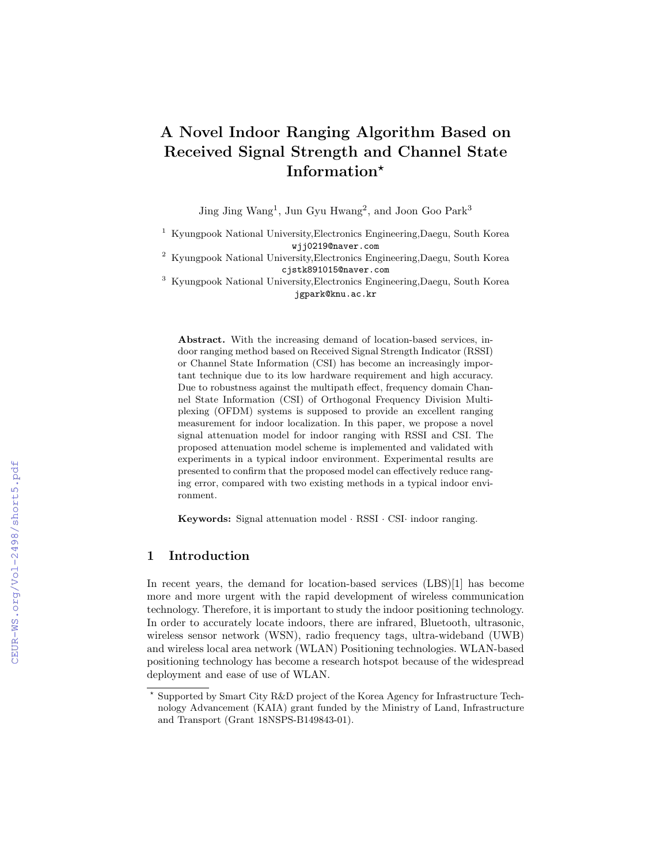# A Novel Indoor Ranging Algorithm Based on Received Signal Strength and Channel State Information?

Jing Jing Wang<sup>1</sup>, Jun Gyu Hwang<sup>2</sup>, and Joon Goo Park<sup>3</sup>

<sup>1</sup> Kyungpook National University,Electronics Engineering,Daegu, South Korea wjj0219@naver.com

<sup>2</sup> Kyungpook National University,Electronics Engineering,Daegu, South Korea cjstk891015@naver.com

<sup>3</sup> Kyungpook National University,Electronics Engineering,Daegu, South Korea jgpark@knu.ac.kr

Abstract. With the increasing demand of location-based services, indoor ranging method based on Received Signal Strength Indicator (RSSI) or Channel State Information (CSI) has become an increasingly important technique due to its low hardware requirement and high accuracy. Due to robustness against the multipath effect, frequency domain Channel State Information (CSI) of Orthogonal Frequency Division Multiplexing (OFDM) systems is supposed to provide an excellent ranging measurement for indoor localization. In this paper, we propose a novel signal attenuation model for indoor ranging with RSSI and CSI. The proposed attenuation model scheme is implemented and validated with experiments in a typical indoor environment. Experimental results are presented to confirm that the proposed model can effectively reduce ranging error, compared with two existing methods in a typical indoor environment.

Keywords: Signal attenuation model · RSSI · CSI· indoor ranging.

## 1 Introduction

In recent years, the demand for location-based services (LBS)[1] has become more and more urgent with the rapid development of wireless communication technology. Therefore, it is important to study the indoor positioning technology. In order to accurately locate indoors, there are infrared, Bluetooth, ultrasonic, wireless sensor network (WSN), radio frequency tags, ultra-wideband (UWB) and wireless local area network (WLAN) Positioning technologies. WLAN-based positioning technology has become a research hotspot because of the widespread deployment and ease of use of WLAN.

<sup>?</sup> Supported by Smart City R&D project of the Korea Agency for Infrastructure Technology Advancement (KAIA) grant funded by the Ministry of Land, Infrastructure and Transport (Grant 18NSPS-B149843-01).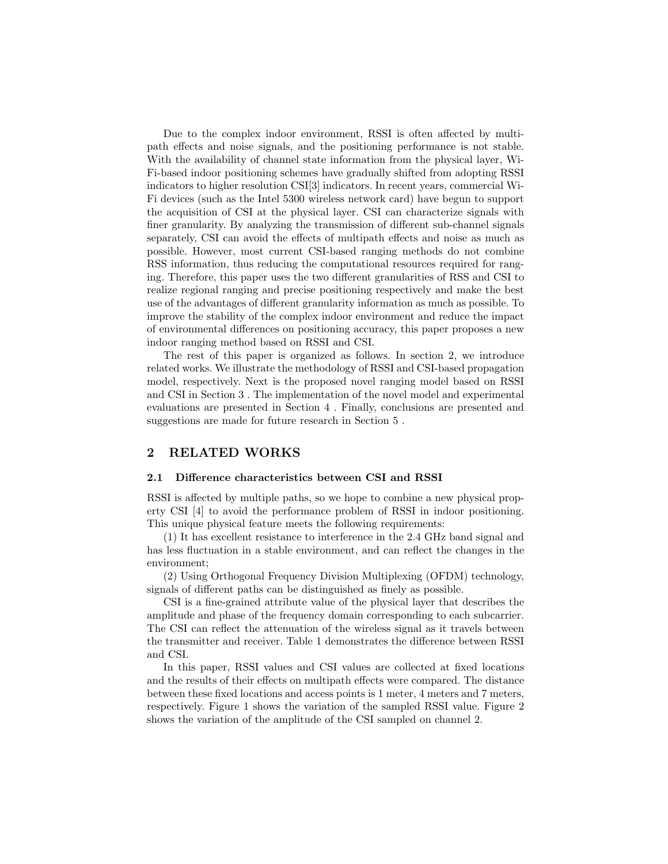Due to the complex indoor environment, RSSI is often affected by multipath effects and noise signals, and the positioning performance is not stable. With the availability of channel state information from the physical layer, Wi-Fi-based indoor positioning schemes have gradually shifted from adopting RSSI indicators to higher resolution CSI[3] indicators. In recent years, commercial Wi-Fi devices (such as the Intel 5300 wireless network card) have begun to support the acquisition of CSI at the physical layer. CSI can characterize signals with finer granularity. By analyzing the transmission of different sub-channel signals separately, CSI can avoid the effects of multipath effects and noise as much as possible. However, most current CSI-based ranging methods do not combine RSS information, thus reducing the computational resources required for ranging. Therefore, this paper uses the two different granularities of RSS and CSI to realize regional ranging and precise positioning respectively and make the best use of the advantages of different granularity information as much as possible. To improve the stability of the complex indoor environment and reduce the impact of environmental differences on positioning accuracy, this paper proposes a new indoor ranging method based on RSSI and CSI.

The rest of this paper is organized as follows. In section 2, we introduce related works. We illustrate the methodology of RSSI and CSI-based propagation model, respectively. Next is the proposed novel ranging model based on RSSI and CSI in Section 3 . The implementation of the novel model and experimental evaluations are presented in Section 4 . Finally, conclusions are presented and suggestions are made for future research in Section 5 .

### 2 RELATED WORKS

#### 2.1 Difference characteristics between CSI and RSSI

RSSI is affected by multiple paths, so we hope to combine a new physical property CSI [4] to avoid the performance problem of RSSI in indoor positioning. This unique physical feature meets the following requirements:

(1) It has excellent resistance to interference in the 2.4 GHz band signal and has less fluctuation in a stable environment, and can reflect the changes in the environment;

(2) Using Orthogonal Frequency Division Multiplexing (OFDM) technology, signals of different paths can be distinguished as finely as possible.

CSI is a fine-grained attribute value of the physical layer that describes the amplitude and phase of the frequency domain corresponding to each subcarrier. The CSI can reflect the attenuation of the wireless signal as it travels between the transmitter and receiver. Table 1 demonstrates the difference between RSSI and CSI.

In this paper, RSSI values and CSI values are collected at fixed locations and the results of their effects on multipath effects were compared. The distance between these fixed locations and access points is 1 meter, 4 meters and 7 meters, respectively. Figure 1 shows the variation of the sampled RSSI value. Figure 2 shows the variation of the amplitude of the CSI sampled on channel 2.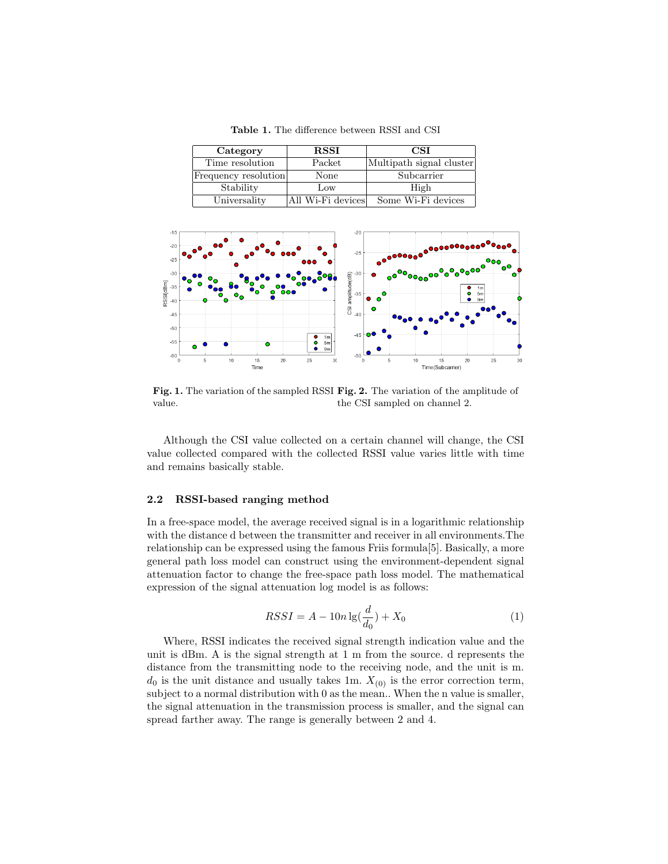Table 1. The difference between RSSI and CSI

| Category             | <b>RSSI</b>       | <b>CSI</b>               |  |
|----------------------|-------------------|--------------------------|--|
| Time resolution      | Packet            | Multipath signal cluster |  |
| Frequency resolution | None              | Subcarrier               |  |
| Stability            | Low               | High                     |  |
| Universality         | All Wi-Fi devices | Some Wi-Fi devices       |  |



Fig. 1. The variation of the sampled RSSI Fig. 2. The variation of the amplitude of value. the CSI sampled on channel 2.

Although the CSI value collected on a certain channel will change, the CSI value collected compared with the collected RSSI value varies little with time and remains basically stable.

#### 2.2 RSSI-based ranging method

In a free-space model, the average received signal is in a logarithmic relationship with the distance d between the transmitter and receiver in all environments.The relationship can be expressed using the famous Friis formula[5]. Basically, a more general path loss model can construct using the environment-dependent signal attenuation factor to change the free-space path loss model. The mathematical expression of the signal attenuation log model is as follows:

$$
RSSI = A - 10n \lg(\frac{d}{d_0}) + X_0 \tag{1}
$$

Where, RSSI indicates the received signal strength indication value and the unit is dBm. A is the signal strength at 1 m from the source. d represents the distance from the transmitting node to the receiving node, and the unit is m.  $d_0$  is the unit distance and usually takes 1m.  $X_{(0)}$  is the error correction term, subject to a normal distribution with 0 as the mean.. When the n value is smaller, the signal attenuation in the transmission process is smaller, and the signal can spread farther away. The range is generally between 2 and 4.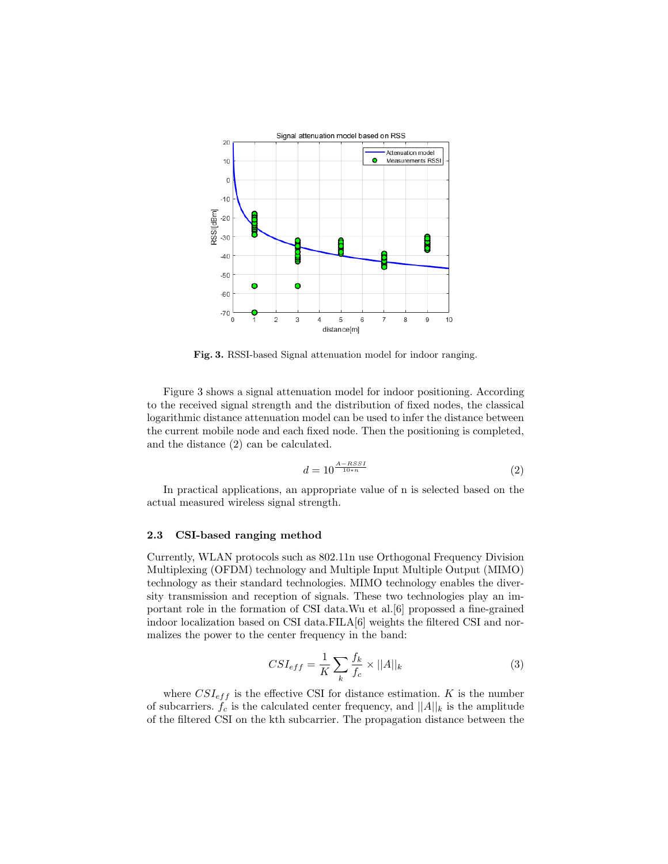

Fig. 3. RSSI-based Signal attenuation model for indoor ranging.

Figure 3 shows a signal attenuation model for indoor positioning. According to the received signal strength and the distribution of fixed nodes, the classical logarithmic distance attenuation model can be used to infer the distance between the current mobile node and each fixed node. Then the positioning is completed, and the distance (2) can be calculated.

$$
d = 10^{\frac{A - RSSI}{10*n}} \tag{2}
$$

In practical applications, an appropriate value of n is selected based on the actual measured wireless signal strength.

#### 2.3 CSI-based ranging method

Currently, WLAN protocols such as 802.11n use Orthogonal Frequency Division Multiplexing (OFDM) technology and Multiple Input Multiple Output (MIMO) technology as their standard technologies. MIMO technology enables the diversity transmission and reception of signals. These two technologies play an important role in the formation of CSI data.Wu et al.[6] propossed a fine-grained indoor localization based on CSI data.FILA[6] weights the filtered CSI and normalizes the power to the center frequency in the band:

$$
CSI_{eff} = \frac{1}{K} \sum_{k} \frac{f_k}{f_c} \times ||A||_k \tag{3}
$$

where  $CSI_{eff}$  is the effective CSI for distance estimation. K is the number of subcarriers.  $f_c$  is the calculated center frequency, and  $||A||_k$  is the amplitude of the filtered CSI on the kth subcarrier. The propagation distance between the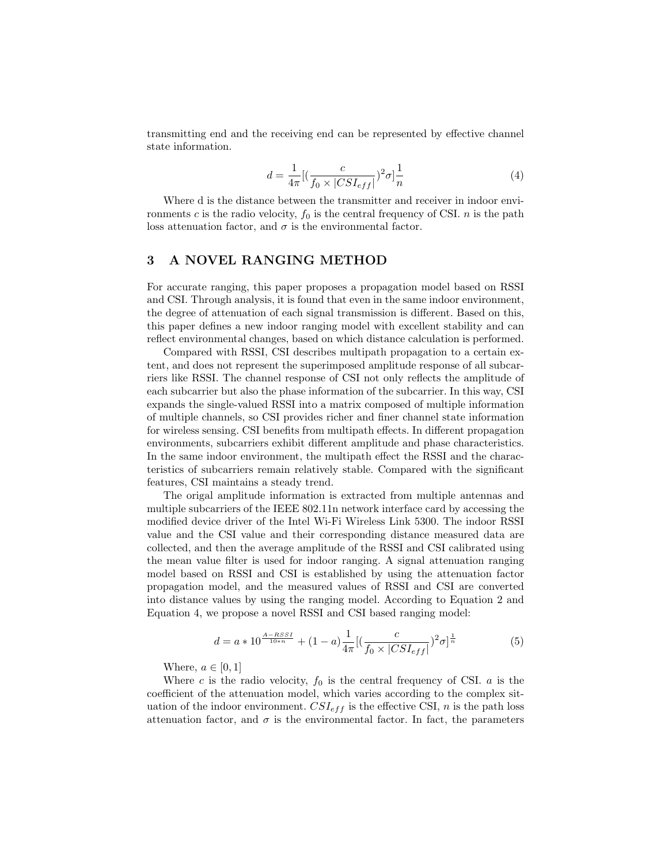transmitting end and the receiving end can be represented by effective channel state information.

$$
d = \frac{1}{4\pi} \left[ \left( \frac{c}{f_0 \times |CSI_{eff}|} \right)^2 \sigma \right] \frac{1}{n}
$$
\n<sup>(4)</sup>

Where d is the distance between the transmitter and receiver in indoor environments c is the radio velocity,  $f_0$  is the central frequency of CSI. n is the path loss attenuation factor, and  $\sigma$  is the environmental factor.

## 3 A NOVEL RANGING METHOD

For accurate ranging, this paper proposes a propagation model based on RSSI and CSI. Through analysis, it is found that even in the same indoor environment, the degree of attenuation of each signal transmission is different. Based on this, this paper defines a new indoor ranging model with excellent stability and can reflect environmental changes, based on which distance calculation is performed.

Compared with RSSI, CSI describes multipath propagation to a certain extent, and does not represent the superimposed amplitude response of all subcarriers like RSSI. The channel response of CSI not only reflects the amplitude of each subcarrier but also the phase information of the subcarrier. In this way, CSI expands the single-valued RSSI into a matrix composed of multiple information of multiple channels, so CSI provides richer and finer channel state information for wireless sensing. CSI benefits from multipath effects. In different propagation environments, subcarriers exhibit different amplitude and phase characteristics. In the same indoor environment, the multipath effect the RSSI and the characteristics of subcarriers remain relatively stable. Compared with the significant features, CSI maintains a steady trend.

The origal amplitude information is extracted from multiple antennas and multiple subcarriers of the IEEE 802.11n network interface card by accessing the modified device driver of the Intel Wi-Fi Wireless Link 5300. The indoor RSSI value and the CSI value and their corresponding distance measured data are collected, and then the average amplitude of the RSSI and CSI calibrated using the mean value filter is used for indoor ranging. A signal attenuation ranging model based on RSSI and CSI is established by using the attenuation factor propagation model, and the measured values of RSSI and CSI are converted into distance values by using the ranging model. According to Equation 2 and Equation 4, we propose a novel RSSI and CSI based ranging model:

$$
d = a * 10^{\frac{A - RSSI}{10*n}} + (1 - a) \frac{1}{4\pi} \left[ \left( \frac{c}{f_0 \times |CSI_{eff}|} \right)^2 \sigma \right]^{\frac{1}{n}} \tag{5}
$$

Where,  $a \in [0, 1]$ 

Where c is the radio velocity,  $f_0$  is the central frequency of CSI. a is the coefficient of the attenuation model, which varies according to the complex situation of the indoor environment.  $CSI_{eff}$  is the effective CSI, n is the path loss attenuation factor, and  $\sigma$  is the environmental factor. In fact, the parameters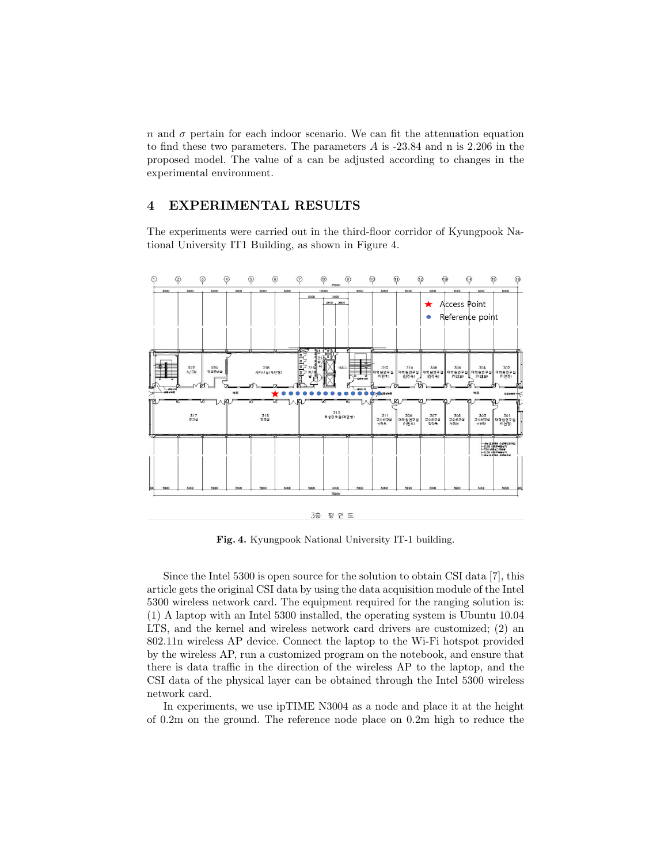n and  $\sigma$  pertain for each indoor scenario. We can fit the attenuation equation to find these two parameters. The parameters A is -23.84 and n is 2.206 in the proposed model. The value of a can be adjusted according to changes in the experimental environment.

## 4 EXPERIMENTAL RESULTS

The experiments were carried out in the third-floor corridor of Kyungpook National University IT1 Building, as shown in Figure 4.



Fig. 4. Kyungpook National University IT-1 building.

Since the Intel 5300 is open source for the solution to obtain CSI data [7], this article gets the original CSI data by using the data acquisition module of the Intel 5300 wireless network card. The equipment required for the ranging solution is: (1) A laptop with an Intel 5300 installed, the operating system is Ubuntu 10.04 LTS, and the kernel and wireless network card drivers are customized; (2) an 802.11n wireless AP device. Connect the laptop to the Wi-Fi hotspot provided by the wireless AP, run a customized program on the notebook, and ensure that there is data traffic in the direction of the wireless AP to the laptop, and the CSI data of the physical layer can be obtained through the Intel 5300 wireless network card.

In experiments, we use ipTIME N3004 as a node and place it at the height of 0.2m on the ground. The reference node place on 0.2m high to reduce the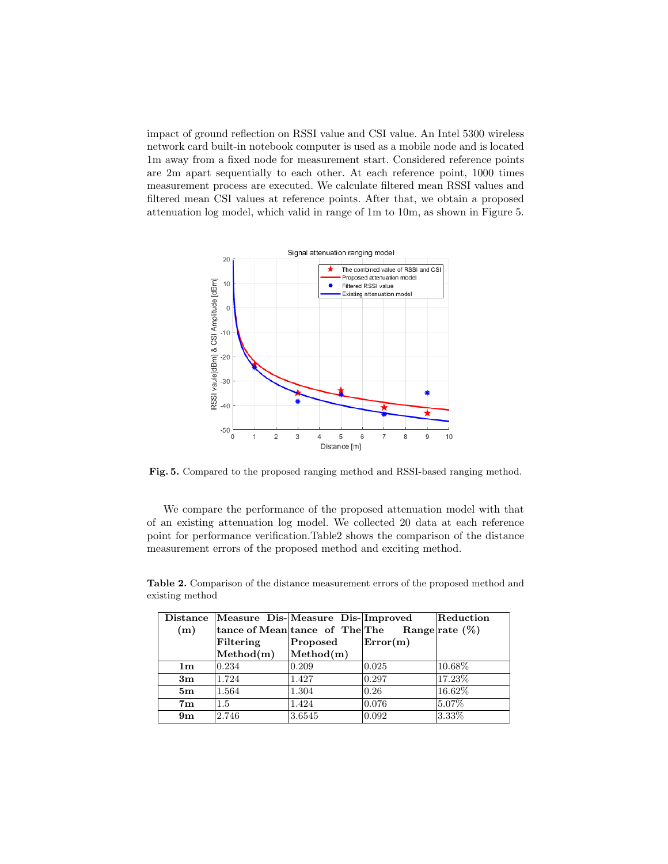impact of ground reflection on RSSI value and CSI value. An Intel 5300 wireless network card built-in notebook computer is used as a mobile node and is located 1m away from a fixed node for measurement start. Considered reference points are 2m apart sequentially to each other. At each reference point, 1000 times measurement process are executed. We calculate filtered mean RSSI values and filtered mean CSI values at reference points. After that, we obtain a proposed attenuation log model, which valid in range of 1m to 10m, as shown in Figure 5.



Fig. 5. Compared to the proposed ranging method and RSSI-based ranging method.

We compare the performance of the proposed attenuation model with that of an existing attenuation log model. We collected 20 data at each reference point for performance verification.Table2 shows the comparison of the distance measurement errors of the proposed method and exciting method.

| Distance       | Measure Dis-Measure Dis-Improved |                                |          | Reduction         |
|----------------|----------------------------------|--------------------------------|----------|-------------------|
| (m)            |                                  | tance of Mean tance of The The |          | Range rate $(\%)$ |
|                | Filtering                        | Proposed                       | Error(m) |                   |
|                | $\mathbf{Method(m)}$             | Method(m)                      |          |                   |
| 1 <sub>m</sub> | 0.234                            | 0.209                          | 0.025    | 10.68%            |
| 3m             | 1.724                            | 1.427                          | 0.297    | 17.23%            |
| 5 <sub>m</sub> | 1.564                            | 1.304                          | 0.26     | 16.62\%           |
| 7 <sub>m</sub> | 1.5                              | 1.424                          | 0.076    | 5.07%             |
| 9m             | 2.746                            | 3.6545                         | 0.092    | 3.33%             |

Table 2. Comparison of the distance measurement errors of the proposed method and existing method